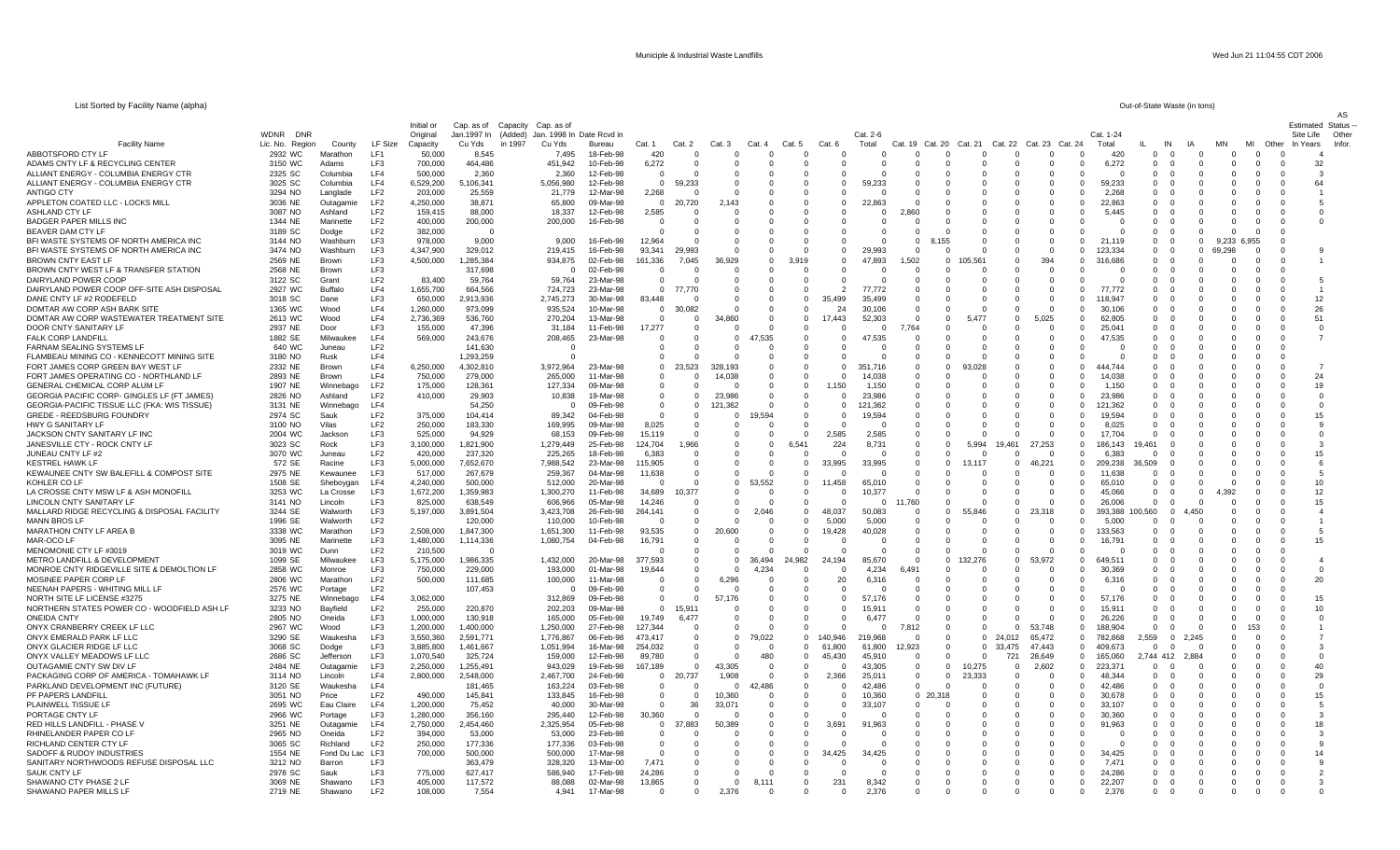AS

## List Sorted by Facility Name (alpha)

| Out-of-State Waste (in tons) |  |  |  |  |
|------------------------------|--|--|--|--|
|------------------------------|--|--|--|--|

|                                                                         |                                          |                         |                        | Initial or             | Cap. as of             | Capacity<br>Cap. as of                       |                        |                         |                         |                      |               |                         |                      |                   |                         |                      |                      |                      |                      |                      |                    |                      |                                         |                 |                         | Estimated          | Status                  |
|-------------------------------------------------------------------------|------------------------------------------|-------------------------|------------------------|------------------------|------------------------|----------------------------------------------|------------------------|-------------------------|-------------------------|----------------------|---------------|-------------------------|----------------------|-------------------|-------------------------|----------------------|----------------------|----------------------|----------------------|----------------------|--------------------|----------------------|-----------------------------------------|-----------------|-------------------------|--------------------|-------------------------|
| <b>Facility Name</b>                                                    | <b>WDNR</b><br>DNF<br>Lic. No.<br>Region | County                  | LF Size                | Original<br>Capacity   | Jan.1997 In<br>Cu Yds  | (Added)<br>Jan. 1998 In<br>in 1997<br>Cu Yds | Date Rcvd in<br>Bureau | Cat. 1                  | Cat. 2                  | Cat                  | Cat.          | Cat. 5                  | Cat. 6               | Cat. 2-6<br>Total | Cat.                    | Cat. 20              | Cat. 21              | Cat. 22              | Cat. 23              | Cat. 24              | Cat. 1-24<br>Total | IN                   |                                         | <b>MN</b>       | МI                      | Site Life<br>Other | Other<br>Years<br>Infor |
| ABBOTSFORD CTY LI                                                       | 2932 WC                                  | Marathon                | LF1                    | 50,000                 | 8,545                  | 7.495                                        | 18-Feb-98              | 420                     | $\Omega$                | $\Omega$             | $\Omega$      | $\Omega$                | $\Omega$             |                   |                         | $\Omega$             | $\Omega$             | $\Omega$             | $\Omega$             | $\Omega$             | 420                | $\Omega$             | $\Omega$<br>$\Omega$                    | $\Omega$        | $\overline{0}$          |                    |                         |
| ADAMS CNTY LF & RECYCLING CENTER                                        | 3150 WC                                  | Adams                   | LF3                    | 700,000                | 464,486                | 451,942                                      | 10-Feb-98              | 6,272                   | $\Omega$                | $\Omega$             | $\Omega$      | $\Omega$                |                      |                   | $\Omega$                | $\Omega$             | $\cap$               | $\Omega$             | $\Omega$             | $\Omega$             | 6,272              | $\Omega$             | $\Omega$<br>- 0                         | $\cap$          | $\Omega$                | $\Omega$           | 32                      |
| ALLIANT ENERGY - COLUMBIA ENERGY CTR                                    | 2325 SC                                  | Columbia                | LF4                    | 500,000                | 2,360                  | 2.360                                        | 12-Feb-98              | $\overline{0}$          | $\Omega$                |                      |               | -0                      |                      |                   | 0                       | 0                    |                      | $\mathbf 0$          | $\Omega$             |                      |                    | $\mathbf{0}$         |                                         |                 | $\overline{\mathbf{0}}$ | - 0                | -3                      |
| ALLIANT ENERGY - COLUMBIA ENERGY CTR                                    | 3025 SC                                  | Columbia                | LF4                    | 6,529,200              | 5,106,341              | 5,056,980                                    | 12-Feb-98              | $\mathbf 0$             | 59,233                  |                      |               | $\Omega$                |                      | 59,233            | $\Omega$                | $\Omega$             |                      |                      |                      | $\Omega$             | 59.233             | $\Omega$             | $\Omega$                                |                 | $\Omega$                | $\Omega$           | 64                      |
| <b>ANTIGO CTY</b>                                                       | 3294 NO                                  | Langlade                | LF <sub>2</sub>        | 203,000                | 25,559                 | 21.779                                       | 12-Mar-98              | 2,268                   | $\Omega$                | <sup>0</sup>         |               | - 0                     | <sup>0</sup>         | n                 | $\Omega$                | $\Omega$             | - 0                  | - 0                  | റ                    | $\Omega$             | 2.268              | $\Omega$             | - 0<br>$\Omega$                         |                 | - 0                     | - 0                |                         |
| APPLETON COATED LLC - LOCKS MILL                                        | 3036 NE                                  | Outagamie               | LF2                    | 4,250,000              | 38,871                 | 65,800                                       | 09-Mar-98              | $\overline{\mathbf{0}}$ | 20,720                  | 2.143                |               | $\Omega$                | $\Omega$             | 22,863            | $\Omega$                | $\Omega$             |                      | $\Omega$             | $\Omega$             | 0                    | 22,863             | $\Omega$             | $\Omega$                                |                 |                         |                    |                         |
| <b>ASHLAND CTY LF</b>                                                   | 3087 NO                                  | Ashland                 | LF <sub>2</sub>        | 159,415                | 88,000                 | 18.337                                       | 12-Feb-98              | 2,585                   |                         |                      |               | $\Omega$                |                      | $\Omega$          | 860                     | $\Omega$             |                      |                      | $\Omega$             | $\Omega$             | 5.445              | $\Omega$             | $\Omega$                                |                 | $\Omega$                | $\Omega$           | $\Omega$                |
| <b>BADGER PAPER MILLS INC</b>                                           | 1344 NE                                  | Marinette               | LF <sub>2</sub>        | 400,000                | 200,000                | 200,000                                      | 16-Feb-98              | $\Omega$                | $\Omega$                | $\Omega$             |               | $\Omega$                | $\Omega$             | $\Omega$          |                         | $\cap$               | - 0                  | $\Omega$             | $\Omega$             | - 0                  | - 0                | $\Omega$             | $\Omega$                                | - 0             | $\Omega$                | $\Omega$           | $\Omega$                |
| BEAVER DAM CTY LF                                                       | 3189 SC                                  | Dodge                   | LF <sub>2</sub>        | 382,000                | $\Omega$               |                                              |                        | $\Omega$                | $\Omega$                | $\Omega$             |               | $\Omega$                |                      |                   |                         | $\cap$               |                      | $\Omega$             | $\Omega$             |                      | $\cap$             | $\Omega$             | $\Omega$                                |                 | - 0                     | $\Omega$           |                         |
| BFI WASTE SYSTEMS OF NORTH AMERICA INC                                  | 3144 NO                                  | Washburr                | LF3                    | 978,000                | 9,000                  | 9,000                                        | 16-Feb-98              | 12,964                  |                         | $\Omega$             |               | $\Omega$                | $\Omega$             |                   | $\Omega$                | 8,155                |                      | $\Omega$             | $\Omega$             | $\Omega$<br>$\Omega$ | 21,119<br>123.334  | $\Omega$<br>$\Omega$ | $\Omega$                                | 9,233<br>69.298 | 6,955<br>$\Omega$       | $\Omega$           |                         |
| BFI WASTE SYSTEMS OF NORTH AMERICA INC<br><b>BROWN CNTY EAST LF</b>     | 3474 NO<br>2569 NE                       | Washburr<br>Brown       | LF3<br>LF <sub>3</sub> | 4,347,900<br>4,500,000 | 329,012<br>1.285.384   | 219,415<br>934,875                           | 16-Feb-98<br>02-Feb-98 | 93,341<br>161,336       | 29,993<br>7.045         | 36.929               | - 0           | $\Omega$<br>3.919       | <sup>0</sup>         | 29,993<br>47,893  | $\Omega$<br>1,502       | 0<br>- 0             | $\Omega$<br>105,561  | - 0                  | 394                  | $\Omega$             | 316,686            | $\Omega$             | $\mathbf 0$<br>$\Omega$<br>$\mathbf{u}$ | - 0             | $\Omega$                | - 0                |                         |
| BROWN CNTY WEST LF & TRANSFER STATION                                   | 2568 NE                                  | <b>Browr</b>            | LF3                    |                        | 317,698                | 0                                            | 02-Feb-98              | 0                       | $\Omega$                | $\Omega$             | - 0           | $\Omega$                |                      |                   | - 0                     | $\Omega$             | - 0                  | $\Omega$             |                      | ſ                    | - 0                | $\mathbf{0}$         | $\mathbf 0$                             |                 | $\Omega$                | - 0                |                         |
| DAIRYLAND POWER COOP                                                    | 3122 SC                                  | Grant                   | LF <sub>2</sub>        | 83,400                 | 59,764                 | 59.764                                       | 23-Mar-98              | $\Omega$                | $\Omega$                | $\Omega$             |               | $\Omega$                |                      |                   | $\Omega$                | $\Omega$             |                      | $\Omega$             |                      |                      | $\Omega$           | $\Omega$             | $\Omega$                                |                 | $\Omega$                | $\Omega$           | .5                      |
| DAIRYLAND POWER COOP OFF-SITE ASH DISPOSAL                              | 2927 WC                                  | <b>Buffalo</b>          | LF4                    | 1,655,700              | 664,566                | 724,723                                      | 23-Mar-98              | $\Omega$                | 77.770                  | $\Omega$             | $\Omega$      | $\Omega$                | $\mathcal{P}$        | 77,772            | $\Omega$                | $\Omega$             | $\cap$               | $\Omega$             | $\Omega$             | $\Omega$             | 77.772             | $\Omega$             | $\Omega$<br>- 0                         |                 | $\Omega$                | - 0                |                         |
| DANE CNTY LF #2 RODEFELD                                                | 3018 SC                                  | Dane                    | LF <sub>3</sub>        | 650,000                | 2,913,936              | 2,745,273                                    | 30-Mar-98              | 83,448                  |                         | $\Omega$             | - 0           | $\Omega$                |                      | 35,499            | $\Omega$                | $\Omega$             | $\epsilon$           | $\Omega$             | $\Omega$             | $\Omega$             | 18.947             | $\Omega$             | - 0                                     |                 | $\Omega$                |                    | 12                      |
| DOMTAR AW CORP ASH BARK SITE                                            | 1365 WC                                  | Wood                    | LF4                    | 1,260,000              | 973,099                | 935,524                                      | 10-Mar-98              | - 0                     | 30,082                  |                      |               | -0                      | 24                   | 30,106            | $\Omega$                |                      |                      | $\Omega$             |                      | 0                    | 30,106             | $\mathbf{0}$         |                                         |                 | $\Omega$                |                    | 26                      |
| DOMTAR AW CORP WASTEWATER TREATMENT SITE                                | 2613 WC                                  | Wood                    | LF4                    | 2,736,369              | 536,760                | 270,204                                      | 13-Mar-98              | $\Omega$                | $\Omega$                | 34,860               |               | $\Omega$                | 17,443               | 52,303            | $\Omega$                | $\Omega$             | 5,477                | $\Omega$             | 5,025                | $\Omega$             | 62.805             | $\Omega$             |                                         |                 | $\Omega$                | $\Omega$           | 51                      |
| DOOR CNTY SANITARY LE                                                   | 2937 NE                                  | Door                    | LF <sub>3</sub>        | 155,000                | 47,396                 | 31,184                                       | 11-Feb-98              | 17,277                  | - 0                     | $\Omega$             | - 0           | $\Omega$                | $\Omega$             | $\Omega$          | 7,764                   | $\Omega$             | - 0                  | - 0                  |                      | $\Omega$             | 25,041             | $\Omega$             |                                         |                 | - 0                     | - 0                | - 0                     |
| <b>FALK CORP LANDFILL</b>                                               | 1882 SE                                  | Milwauk                 | LF4                    | 569,000                | 243,676                | 208,465                                      | 23-Mar-98              | $\mathbf 0$             | $\overline{\mathbf{0}}$ | $\mathbf{0}$         | 47,535        | -0                      | $^{\circ}$           | 47,535            | $\Omega$                | 0                    | - 0                  | - 0                  | $\Omega$             | $\Omega$             | 47,535             | $\Omega$             | 0                                       | - 0             | $\Omega$                | - 0                |                         |
| FARNAM SEALING SYSTEMS LF<br>FLAMBEAU MINING CO - KENNECOTT MINING SITE | 640 WC<br>3180 NO                        | Juneau                  | LF <sub>2</sub><br>LF4 |                        | 141,630<br>1,293,259   | $\Omega$                                     |                        | $\Omega$<br>$\Omega$    | $\Omega$<br>$\Omega$    | $\Omega$<br>$\Omega$ | - 0           | $\Omega$<br>$\Omega$    | $\Omega$<br>$\Omega$ | $\Omega$          | $\Omega$<br>$\Omega$    | $\Omega$<br>$\Omega$ | - 6                  | $\Omega$<br>$\Omega$ | $\Omega$<br>$\Omega$ | ſ                    | $\Omega$<br>$\cap$ | $\Omega$<br>$\Omega$ | $\Omega$                                |                 | $\Omega$                | $\Omega$<br>n      |                         |
| FORT JAMES CORP GREEN BAY WEST LF                                       | 2332 NE                                  | Rusk<br>Brown           | LF4                    | 6,250,000              | 4,302,810              | 3,972,964                                    | 23-Mar-98              | $\overline{0}$          | 23,523                  | 328,193              | $\Omega$      | $\Omega$                | $\Omega$             | 351,716           | $\Omega$                | $\Omega$             | 93,028               | $\Omega$             | $\Omega$             | $\Omega$             | 444 744            | $\Omega$             | $\Omega$                                |                 | $\Omega$                | $\Omega$           |                         |
| FORT JAMES OPERATING CO - NORTHLAND LF                                  | 2893 NE                                  | Brown                   | LF4                    | 750,000                | 279,000                | 265,000                                      | 11-Mar-98              | $\Omega$                | $\Omega$                | 14,038               |               | $\Omega$                |                      | 14.038            | $\Omega$                | $\Omega$             |                      | $\Omega$             | $\Omega$             | $\Omega$             | 14.038             | $\Omega$             | $\Omega$                                |                 | $\Omega$                | $\Omega$           | 24                      |
| GENERAL CHEMICAL CORP ALUM LF                                           | 1907 NE                                  | Winnebago               | LF <sub>2</sub>        | 175,000                | 128,361                | 127,334                                      | 09-Mar-98              | $\Omega$                | $\Omega$                |                      | $\Omega$      | $\Omega$                | .150                 | 1,150             | $\Omega$                | $\Omega$             |                      | $\Omega$             |                      | -0                   | 1.150              | $\Omega$             | $\Omega$                                |                 | $\Omega$                | $\Omega$           | 19                      |
| GEORGIA PACIFIC CORP- GINGLES LF (FT JAMES)                             | 2826 NO                                  | Ashland                 | LF <sub>2</sub>        | 410,000                | 29,903                 | 10,838                                       | 19-Mar-98              | $\Omega$                | $\Omega$                | 23.986               | - 0           | 0                       | <sup>0</sup>         | 23,986            | $\Omega$                | $\Omega$             | - 0                  | $\Omega$             | റ                    | - 0                  | 23.986             | $\Omega$             | $\Omega$                                |                 | $\Omega$                | - 0                | $\Omega$                |
| GEORGIA-PACIFIC TISSUE LLC (FKA: WIS TISSUE)                            | 3131 NE                                  | Winnebago               | LF4                    |                        | 54,250                 | 0                                            | 09-Feb-98              | $\overline{0}$          | $\overline{\mathbf{0}}$ | 121,362              | - 0           | $\overline{\mathbf{0}}$ | $\Omega$             | 121.362           | $\Omega$                | 0                    | - 0                  | $^{\circ}$           | റ                    | -0                   | 121.362            | $\Omega$             | $\mathbf 0$                             |                 | $\Omega$                | - 0                | 0                       |
| <b>GREDE - REEDSBURG FOUNDRY</b>                                        | 2974 SC                                  | Sauk                    | LF <sub>2</sub>        | 375,000                | 104,414                | 89.342                                       | 04-Feb-98              | $\Omega$                | $\Omega$                | $\Omega$             | 9,594         | $\Omega$                |                      | 19,594            | $\Omega$                | $\Omega$             | $\Omega$             | $\Omega$             |                      |                      | 19.594             | $\Omega$             | $\Omega$                                |                 |                         |                    | 15                      |
| HWY G SANITARY LF                                                       | 3100 NO                                  | Vilas                   | LF <sub>2</sub>        | 250,000                | 183,330                | 169,995                                      | 09-Mar-98              | 8,025                   | $\Omega$                | $\Omega$             |               | $\Omega$                |                      |                   | $\Omega$                | $\Omega$             | $\Omega$             | $\Omega$             |                      | $\Omega$             | 8,025              | $\Omega$             |                                         |                 | $\Omega$                |                    |                         |
| JACKSON CNTY SANITARY LF INC                                            | 2004 WC                                  | Jackson                 | LF <sub>3</sub>        | 525,000                | 94,929                 | 68,153                                       | 09-Feb-98              | 15,119                  | $\Omega$                | $\Omega$             | $\Omega$      | $\Omega$                | 2,585                | 2,585             | $\Omega$                | $\Omega$             | $\cap$               | $\Omega$             | $\Omega$             | $\Omega$             | 17.704             | $\Omega$             |                                         |                 |                         |                    | $\Omega$                |
| JANESVILLE CTY - ROCK CNTY LF                                           | 3023 SC<br>3070 WC                       | Rock                    | LF3<br>LF <sub>2</sub> | 3,100,000              | 1,821,900<br>237,320   | 1,279,449                                    | 25-Feb-98              | 124,704                 | 1,966                   |                      |               | 6.541<br>-0             | 224                  | 8,731             | $\mathbf 0$<br>$\Omega$ | 0<br>$\Omega$        | 5,994                | 19.461               | 27.253               | 0<br>$\Omega$        | 186.143            | 9.461<br>0           |                                         |                 |                         |                    | 3<br>15                 |
| JUNEAU CNTY LF #2<br><b>KESTREL HAWK LF</b>                             | 572 SE                                   | Juneau<br>Racine        | LF <sub>3</sub>        | 420,000<br>5,000,000   | 7,652,670              | 225,265<br>7,988,542                         | 18-Feb-98<br>23-Mar-98 | 6,383<br>115.905        | റ                       | <sup>0</sup>         | $\mathbf{u}$  | $\Omega$                | 33,995               | 33,995            | $\Omega$                | - 0                  | 13,117               | - 0                  | 46,221               | $\Omega$             | 6,383<br>209.238   | 36.509               |                                         |                 | $\Omega$                | - 0                | -6                      |
| KEWAUNEE CNTY SW BALEFILL & COMPOST SITE                                | 2975 NE                                  | Kewaunee                | LF3                    | 517,000                | 267,679                | 259,367                                      | 04-Mar-98              | 11,638                  | $\Omega$                | <sup>0</sup>         |               | -0                      | - 0                  | $\Omega$          | $\Omega$                | 0                    | - 0                  | $^{\circ}$           | $\Omega$             | 0                    | 11,638             | - 0                  | 0                                       |                 | 0                       |                    | -5                      |
| KOHLER COLF                                                             | 1508 SE                                  | Sheboygar               | LF4                    | 4,240,000              | 500,000                | 512.000                                      | 20-Mar-98              | $\Omega$                | $\Omega$                | $\Omega$             | 53,552        | $\Omega$                | 11,458               | 65.010            | $\Omega$                | 0                    | $\Omega$             | $\Omega$             | $\Omega$             | $\Omega$             | 65.010             | $\Omega$             | $\Omega$                                |                 |                         |                    | 10                      |
| LA CROSSE CNTY MSW LF & ASH MONOFILL                                    | 3253 WC                                  | La Crosse               | LF3                    | 1,672,200              | 1,359,983              | 1,300,270                                    | 11-Feb-98              | 34,689                  | 0,377                   | $\Omega$             | - 0           | $\mathbf 0$             | $\Omega$             | 10,377            | $\Omega$                | $\Omega$             | $\Omega$             | $\Omega$             | $\Omega$             | $\Omega$             | 45.066             | $\Omega$             | $\Omega$                                | 4.392           | $\Omega$                | $\Omega$           | 12                      |
| LINCOLN CNTY SANITARY LF                                                | 3141 NO                                  | Lincoln                 | LF <sub>3</sub>        | 825,000                | 638,549                | 606,966                                      | 05-Mar-98              | 14,246                  | $\Omega$                | $\Omega$             | $\Omega$      | $\Omega$                | $\Omega$             | $\Omega$          | 11,760                  | $\Omega$             | $\cap$               | $\Omega$             | $\Omega$             | $\Omega$             | 26,006             | $\Omega$             | $\Omega$                                |                 | $\Omega$                | $\Omega$           | 15                      |
| MALLARD RIDGE RECYCLING & DISPOSAL FACILITY                             | 3244 SE                                  | Walworth                | LF3                    | 5,197,000              | 3,891,504              | 3,423,708                                    | 26-Feb-98              | 264,141                 | $\overline{0}$          | $\Omega$             | 2,046         | $\mathbf 0$             | 48,037               | 50,083            | -0                      | 0                    | 55,846               | $\overline{0}$       | 23.318               | 0                    | 393,388            | ,560                 | $\Omega$<br>4.450                       |                 |                         |                    |                         |
| <b>MANN BROS LF</b>                                                     | 1996 SE                                  | Walworth                | LF <sub>2</sub>        |                        | 120,000                | 110,000                                      | 10-Feb-98              | $\Omega$                | $\Omega$                |                      |               | $\Omega$                | 5,000                | 5,000             | $\Omega$                | $\Omega$             | - 0                  | $\Omega$             |                      | $\Omega$             | 5,000              | $\Omega$             | $\Omega$                                |                 | $\Omega$                | $\Omega$           |                         |
| MARATHON CNTY LF AREA B                                                 | 3338 WC                                  | Marathon                | LF <sub>3</sub>        | 2,508,000              | 1.847.300              | 1,651,300                                    | 11-Feb-98              | 93,535                  | $\Omega$                | 20.600               | - 0           | $\Omega$                | 19,428               | 40,028            | $\Omega$                | $\Omega$             | - 0                  | - 0                  | റ                    | $\Omega$             | 133.563            | $\Omega$             | $\Omega$                                | - 0             | - 0                     | - 0                | -5                      |
| MAR-OCO LF<br>MENOMONIE CTY LF #3019                                    | 3095 NE<br>3019 WC                       | Marinette               | LF3<br>LF <sub>2</sub> | 1,480,000<br>210,500   | 1,114,336<br>$\Omega$  | 1,080,754                                    | 04-Feb-98              | 16,791<br>$\Omega$      | $\mathbf 0$<br>$\Omega$ | 0                    | - 0           | $\Omega$<br>$\Omega$    |                      | $\Omega$          | $\mathbf 0$<br>$\Omega$ | 0<br>$\Omega$        | - 0                  | $\Omega$<br>$\Omega$ |                      | - 0<br>$\Omega$      | 16,791             | $\Omega$<br>$\Omega$ | 0<br>$\Omega$                           |                 | $\Omega$<br>$\Omega$    | - 0                | 15                      |
| METRO LANDFILL & DEVELOPMENT                                            | 1099 SE                                  | Dunn<br>Milwaukee       | LF3                    | 5,175,000              | 1,986,335              | 1,432,000                                    | 20-Mar-98              | 377,593                 | $\overline{0}$          | $\Omega$             | 36,494        | 24,982                  |                      | 85,670            | $\Omega$                | 0                    | 132.276              | $\mathbf 0$          | 53.972               | $\Omega$             | 649.511            | $\Omega$             | $\Omega$                                |                 | $\Omega$                | - 0                |                         |
| MONROE CNTY RIDGEVILLE SITE & DEMOLTION LF                              | 2858 WC                                  | Monroe                  | LF <sub>3</sub>        | 750,000                | 229,000                | 193,000                                      | 01-Mar-98              | 19,644                  | $\Omega$                |                      | 4,234         | $\Omega$                |                      | 4,234             | <b>6 491</b>            | $\Omega$             | $\cap$               | $\Omega$             |                      | $\Omega$             | 30,369             | $\Omega$             |                                         |                 | $\Omega$                |                    | $\Omega$                |
| MOSINEE PAPER CORP LF                                                   | 2806 WC                                  | Marathon                | LF <sub>2</sub>        | 500,000                | 111,685                | 100,000                                      | 11-Mar-98              | $\Omega$                | $\Omega$                | 6,296                | - 0           | - 0                     | 20                   | 6,316             | $\Omega$                | n                    | - 0                  | $\Omega$             | $\Omega$             | $\Omega$             | 6.316              | $\Omega$             | - 0                                     |                 | $\Omega$                |                    | 20                      |
| NEENAH PAPERS - WHITING MILL LF                                         | 2576 WC                                  | Portage                 | LF <sub>2</sub>        |                        | 107,453                | $\Omega$                                     | 09-Feb-98              | $\mathbf 0$             | $\Omega$                |                      |               | $\Omega$                |                      |                   | $\Omega$                | $\Omega$             |                      |                      |                      | -0                   | $\Omega$           | $\Omega$             |                                         |                 |                         |                    |                         |
| NORTH SITE LF LICENSE #3275                                             | 3275 NE                                  | Winnebagg               | LF4                    | 3,062,000              |                        | 312.869                                      | 09-Feb-98              | $\overline{0}$          | $\Omega$                | 57.176               | $\mathbf{u}$  | $\Omega$                | $\Omega$             | 57.176            | $\Omega$                | $\Omega$             | - 0                  | - 0                  | റ                    | $\Omega$             | 57.176             | - 0                  | $\mathbf{u}$                            |                 | $\Omega$                | - 0                | 15                      |
| NORTHERN STATES POWER CO - WOODFIELD ASH LF                             | 3233 NO                                  | Bayfield                | LF <sub>2</sub>        | 255,000                | 220,870                | 202,203                                      | 09-Mar-98              | $\overline{\mathbf{0}}$ | 15.911                  | $\Omega$             | - 0           | $\Omega$                | $\Omega$             | 15.911            | $\Omega$                | 0                    | - 0                  | $\Omega$             | $\Omega$             | $\Omega$             | 15,911             | $\Omega$             |                                         |                 | $\Omega$                | - 0                | 10                      |
| <b>ONEIDA CNTY</b>                                                      | 2805 NO                                  | Oneida                  | LF3                    | 1,000,000              | 130,918                | 165.000                                      | 05-Feb-98              | 19.749                  | 6.477                   | $\Omega$             |               | $\Omega$                | $\Omega$             | 6.477             | $\Omega$                | $\Omega$             | $\Omega$             | $\Omega$             | $\Omega$             | $\Omega$             | 26.226             | $\Omega$             |                                         |                 | $\Omega$                |                    |                         |
| ONYX CRANBERRY CREEK LF LLC                                             | 2967 WC                                  | Wood                    | LF3                    | 1,200,000              | 1,400,000              | 1,250,000                                    | 27-Feb-98              | 127,344                 | $\Omega$                |                      |               | $\Omega$                |                      | $\Omega$          | 7,812                   | $\Omega$             | $\cap$               | $\Omega$             | 53,748               | $\mathbf 0$          | 188,904            | $\Omega$             | $\Omega$                                |                 | 153                     | $\Omega$           |                         |
| ONYX EMERALD PARK LF LLC<br>ONYX GLACIER RIDGE LF LLC                   | 3290 SE                                  | Waukesha                | LF <sub>3</sub><br>LF3 | 3,550,360<br>3,885,800 | 2,591,771<br>1,461,667 | 1,776,867                                    | 06-Feb-98              | 473,417<br>254,032      | $\Omega$<br>$\Omega$    | $\Omega$<br>$\Omega$ | 79,022<br>- 0 | $\Omega$<br>$\Omega$    | 140,946<br>61,800    | 219,968           | $\mathcal{C}$<br>12,923 | $\Omega$<br>$\Omega$ | $\Omega$<br>$\Omega$ | 24.012<br>33.475     | 65,472<br>47.443     | $\Omega$<br>$\Omega$ | 782,868            | .559<br>$\Omega$     | $\Omega$<br>2,245<br>- 0                |                 | - 0<br>- 0              | - 0                |                         |
| ONYX VALLEY MEADOWS LF LLC                                              | 3068 SC<br>2686 SC                       | Dodge<br>Jefferson      | LF3                    | 1,070,540              | 325,724                | 1,051,994<br>159,000                         | 16-Mar-98<br>12-Feb-98 | 89,780                  | $\Omega$                | $\Omega$             | 480           | $\Omega$                | 45,430               | 61,800<br>45,910  | $\Omega$                | $\Omega$             | $\Omega$             | 721                  | 28,649               | $\Omega$             | 409,673<br>165,060 | 2.744 412            | 2,884                                   |                 | $\Omega$                | $\Omega$           | $\Omega$                |
| <b>OUTAGAMIE CNTY SW DIV LF</b>                                         | 2484 NE                                  | Outagamie               | LF3                    | 2,250,000              | 1.255.491              | 943.029                                      | 19-Feb-98              | 167,189                 | $\Omega$                | 43.305               | റ             | $\Omega$                | $\Omega$             | 43.305            | $\Omega$                | $\Omega$             | 10.275               | $\Omega$             | 2.602                | $\Omega$             | 223.37             | $\Omega$             | 0                                       | - ( )           | $\Omega$                | - 0                | 40                      |
| PACKAGING CORP OF AMERICA - TOMAHAWK LF                                 | 3114 NO                                  | Lincoln                 | LF4                    | 2,800,000              | 2,548,000              | 2,467,700                                    | 24-Feb-98              | $\overline{\mathbf{0}}$ | 20,737                  | 1,908                | $\Omega$      | $\mathbf 0$             | 2,366                | 25,011            | $^{\circ}$              | $^{\circ}$           | 23,333               | $^{\circ}$           | - 0                  | $\Omega$             | 48.344             | $\Omega$             | $\mathbf 0$                             |                 | $\Omega$                | $\Omega$           | 29                      |
| PARKLAND DEVELOPMENT INC (FUTURE)                                       | 3120 SE                                  | Waukesha                | LF4                    |                        | 181,465                | 163.224                                      | 03-Feb-98              | $\Omega$                | $\Omega$                | $\Omega$             | 42,486        | $\Omega$                | $\Omega$             | 42.486            | $\Omega$                | $\Omega$             | $\Omega$             | $\Omega$             | $\Omega$             | $\Omega$             | 42.486             | $\Omega$             | $\Omega$                                |                 | $\Omega$                | $\Omega$           | $\Omega$                |
| PF PAPERS LANDFILL                                                      | 3051 NO                                  | Price                   | LF <sub>2</sub>        | 490,000                | 145,841                | 133,845                                      | 16-Feb-98              | $\overline{0}$          | $\Omega$                | 10,360               |               | $\Omega$                | $\Omega$             | 10,360            |                         | $0$ 20,318           | $\Omega$             | $\Omega$             | $\Omega$             | $\Omega$             | 30,678             | $\Omega$             | $\Omega$                                |                 | $\Omega$                | $\Omega$           | 15                      |
| PLAINWELL TISSUE LP                                                     | 2695 WC                                  | Eau Claire              | LF4                    | 1,200,000              | 75,452                 | 40,000                                       | 30-Mar-98              | $\Omega$                | 36                      | 33,071               | $\Omega$      | $\Omega$                |                      | 33,107            | $\Omega$                | $\Omega$             | $\cap$               | $\Omega$             | $\Omega$             | $\Omega$             | 33.107             | $\Omega$             | $\Omega$                                |                 | $\Omega$                | $\cap$             | 5                       |
| PORTAGE CNTY LF                                                         | 2966 WC                                  | Portage                 | LF3                    | 1,280,000              | 356,160                | 295,440                                      | 12-Feb-98              | 30,360                  | $\cap$                  |                      |               | $\Omega$                |                      |                   | - 0                     | $\Omega$             |                      | $\Omega$             | n                    | $\Omega$             | 30,360             | $\Omega$             |                                         |                 | $\Omega$                |                    |                         |
| RED HILLS LANDFILL - PHASE                                              | 3251 NE                                  | Outagamie               | LF4                    | 2,750,000              | 2,454,460              | 2,325,954                                    | 05-Feb-98              | $\mathbf 0$             | 37,883                  | 50,389               |               | $\Omega$                | 3,691                | 91,963            | $\Omega$                | $\Omega$             |                      |                      |                      | $\Omega$             | 91.963             | $\Omega$             |                                         |                 |                         |                    | 18                      |
| RHINELANDER PAPER CO LF                                                 | 2965 NO                                  | Oneida                  | LF <sub>2</sub>        | 394.000                | 53,000                 | 53.000                                       | 23-Feb-98              | $\Omega$                | $\Omega$                | <sup>0</sup>         |               | 0                       | <sup>0</sup>         | $\Omega$          | $\Omega$                | $\Omega$             |                      | $\Omega$             | റ                    | -0                   | - 0                | $\Omega$             |                                         |                 | $\Omega$                | - 0                | -3                      |
| RICHLAND CENTER CTY LF<br>SADOFF & RUDOY INDUSTRIES                     | 3065 SC<br>1554 NE                       | Richland<br>Fond Du Lac | LF <sub>2</sub><br>LF3 | 250,000<br>700,000     | 177,336<br>500,000     | 177,336<br>500,000                           | 03-Feb-98<br>17-Mar-98 | - 0<br>$\Omega$         | $\Omega$<br>$\Omega$    | $\Omega$             | - 0           | $\Omega$<br>$\Omega$    | $\Omega$<br>34,425   | - 0<br>34,425     | $\Omega$                | $\Omega$             |                      |                      | റ                    | ſ<br>$\Omega$        | $\Omega$<br>34.425 | $\Omega$<br>$\Omega$ | 0                                       |                 |                         |                    | 14                      |
| SANITARY NORTHWOODS REFUSE DISPOSAL LLC                                 | 3212 NO                                  | Barron                  | LF3                    |                        | 363,479                | 328,320                                      | 13-Mar-00              | 7,471                   | $\Omega$                | $\Omega$             |               | $\Omega$                |                      |                   |                         |                      |                      | $\Omega$             | $\Omega$             | $\Omega$             | 7,47'              | $\Omega$             | $\Omega$                                |                 | $\Omega$                | $\Omega$           |                         |
| <b>SAUK CNTY LF</b>                                                     | 2978 SC                                  | Sauk                    | LF <sub>3</sub>        | 775,000                | 627,417                | 586,940                                      | 17-Feb-98              | 24,286                  | $\Omega$                | $\Omega$             | $\cap$        | $\Omega$                |                      |                   | $\Omega$                | n                    |                      | $\Omega$             | $\Omega$             | $\Omega$             | 24.286             | $\Omega$             | $\Omega$<br>- 0                         |                 | $\Omega$                | $\Omega$           |                         |
| SHAWANO CTY PHASE 2 LF                                                  | 3069 NE                                  | Shawano                 | LF3                    | 405,000                | 117,572                | 88.088                                       | 02-Mar-98              | 13,865                  | $\Omega$                | $\Omega$             | 8,11'         | - 0                     | 231                  | 8,342             | $\Omega$                | - 0                  |                      | $\Omega$             | $\Omega$             | -0                   | 22,207             | $\Omega$             | $\Omega$                                | - 0             | $\Omega$                | $\Omega$           |                         |
| SHAWANO PAPER MILLS LF                                                  | 2719 NE                                  | Shawano                 | LF <sub>2</sub>        | 108,000                | 7.554                  | 4.941                                        | 17-Mar-98              |                         | $\Omega$                | 2.376                |               |                         |                      | 2,376             | $\Omega$                | $\Omega$             |                      | $\Omega$             | $\Omega$             | $\Omega$             | 2,376              | $\Omega$             | $\Omega$                                |                 | $\Omega$                | $\Omega$           |                         |